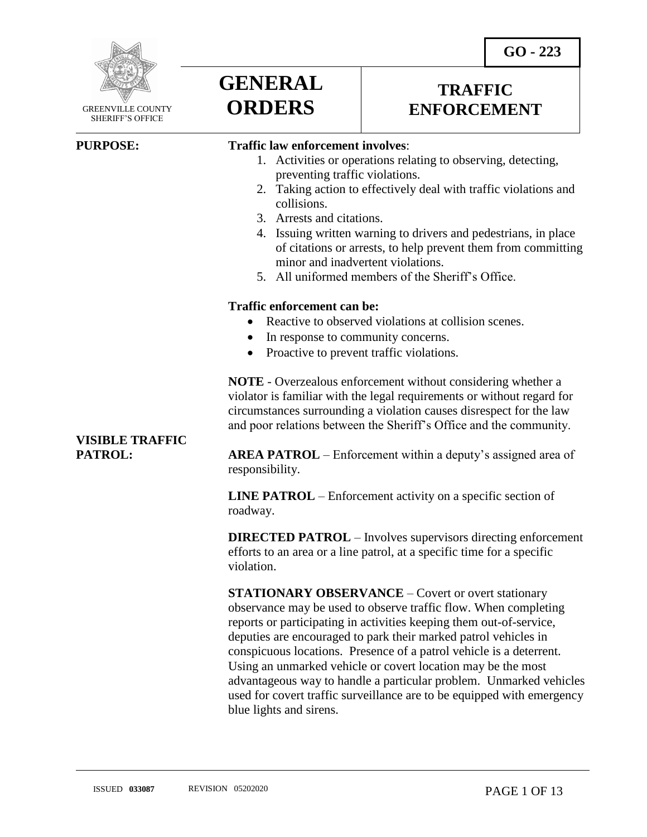



 GREENVILLE COUNTY SHERIFF'S OFFICE

 $\overline{a}$ 

# **GENERAL ORDERS**

# **TRAFFIC ENFORCEMENT**

## **PURPOSE: Traffic law enforcement involves**:

- 1. Activities or operations relating to observing, detecting, preventing traffic violations.
- 2. Taking action to effectively deal with traffic violations and collisions.
- 3. Arrests and citations.
- 4. Issuing written warning to drivers and pedestrians, in place of citations or arrests, to help prevent them from committing minor and inadvertent violations.
- 5. All uniformed members of the Sheriff's Office.

### **Traffic enforcement can be:**

- Reactive to observed violations at collision scenes.
- In response to community concerns.
- Proactive to prevent traffic violations.

**NOTE** - Overzealous enforcement without considering whether a violator is familiar with the legal requirements or without regard for circumstances surrounding a violation causes disrespect for the law and poor relations between the Sheriff's Office and the community.

# **VISIBLE TRAFFIC**

**PATROL: AREA PATROL** – Enforcement within a deputy's assigned area of responsibility.

> **LINE PATROL** – Enforcement activity on a specific section of roadway.

**DIRECTED PATROL** – Involves supervisors directing enforcement efforts to an area or a line patrol, at a specific time for a specific violation.

**STATIONARY OBSERVANCE** – Covert or overt stationary observance may be used to observe traffic flow. When completing reports or participating in activities keeping them out-of-service, deputies are encouraged to park their marked patrol vehicles in conspicuous locations. Presence of a patrol vehicle is a deterrent. Using an unmarked vehicle or covert location may be the most advantageous way to handle a particular problem. Unmarked vehicles used for covert traffic surveillance are to be equipped with emergency blue lights and sirens.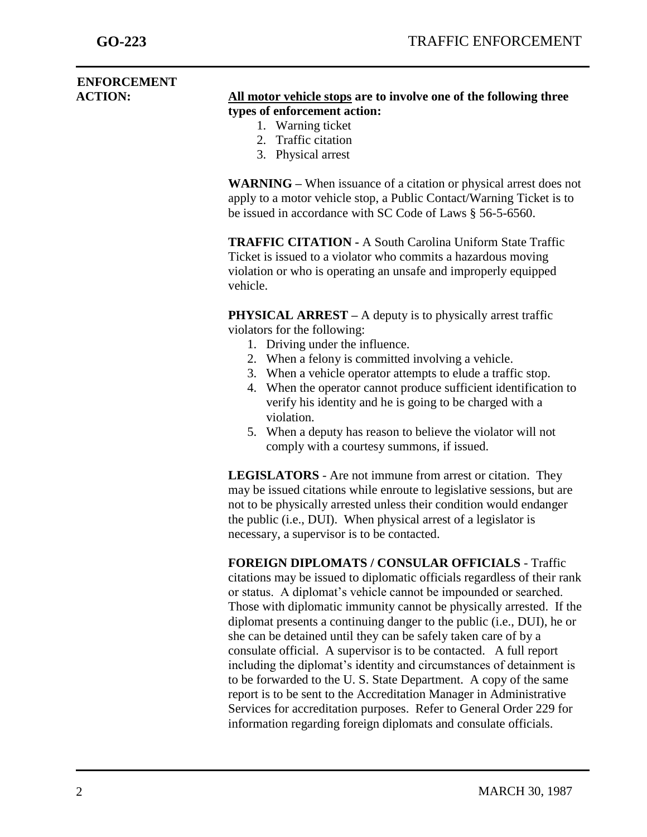# **ENFORCEMENT**

- **ACTION: All motor vehicle stops are to involve one of the following three types of enforcement action:**
	- 1. Warning ticket
	- 2. Traffic citation
	- 3. Physical arrest

**WARNING –** When issuance of a citation or physical arrest does not apply to a motor vehicle stop, a Public Contact/Warning Ticket is to be issued in accordance with SC Code of Laws § 56-5-6560.

**TRAFFIC CITATION -** A South Carolina Uniform State Traffic Ticket is issued to a violator who commits a hazardous moving violation or who is operating an unsafe and improperly equipped vehicle.

**PHYSICAL ARREST** – A deputy is to physically arrest traffic violators for the following:

- 1. Driving under the influence.
- 2. When a felony is committed involving a vehicle.
- 3. When a vehicle operator attempts to elude a traffic stop.
- 4. When the operator cannot produce sufficient identification to verify his identity and he is going to be charged with a violation.
- 5. When a deputy has reason to believe the violator will not comply with a courtesy summons, if issued.

**LEGISLATORS** - Are not immune from arrest or citation. They may be issued citations while enroute to legislative sessions, but are not to be physically arrested unless their condition would endanger the public (i.e., DUI). When physical arrest of a legislator is necessary, a supervisor is to be contacted.

**FOREIGN DIPLOMATS / CONSULAR OFFICIALS** - Traffic citations may be issued to diplomatic officials regardless of their rank or status. A diplomat's vehicle cannot be impounded or searched. Those with diplomatic immunity cannot be physically arrested. If the diplomat presents a continuing danger to the public (i.e., DUI), he or she can be detained until they can be safely taken care of by a consulate official. A supervisor is to be contacted. A full report including the diplomat's identity and circumstances of detainment is to be forwarded to the U. S. State Department. A copy of the same report is to be sent to the Accreditation Manager in Administrative Services for accreditation purposes. Refer to General Order 229 for information regarding foreign diplomats and consulate officials.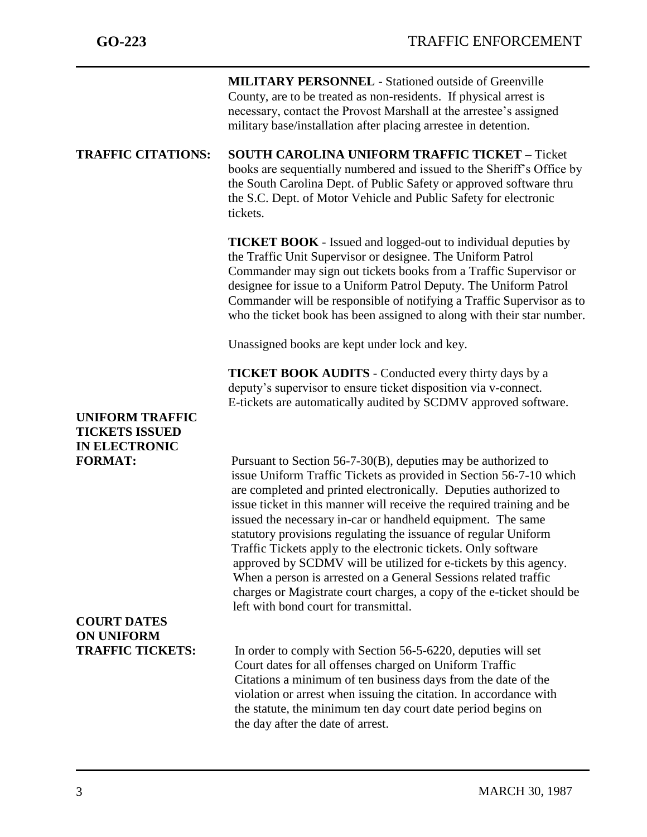|                                                                         | <b>MILITARY PERSONNEL - Stationed outside of Greenville</b><br>County, are to be treated as non-residents. If physical arrest is<br>necessary, contact the Provost Marshall at the arrestee's assigned<br>military base/installation after placing arrestee in detention.                                                                                                                                                                                                                                                                                                                                                                                                                                                                        |
|-------------------------------------------------------------------------|--------------------------------------------------------------------------------------------------------------------------------------------------------------------------------------------------------------------------------------------------------------------------------------------------------------------------------------------------------------------------------------------------------------------------------------------------------------------------------------------------------------------------------------------------------------------------------------------------------------------------------------------------------------------------------------------------------------------------------------------------|
| <b>TRAFFIC CITATIONS:</b>                                               | <b>SOUTH CAROLINA UNIFORM TRAFFIC TICKET - Ticket</b><br>books are sequentially numbered and issued to the Sheriff's Office by<br>the South Carolina Dept. of Public Safety or approved software thru<br>the S.C. Dept. of Motor Vehicle and Public Safety for electronic<br>tickets.                                                                                                                                                                                                                                                                                                                                                                                                                                                            |
|                                                                         | <b>TICKET BOOK</b> - Issued and logged-out to individual deputies by<br>the Traffic Unit Supervisor or designee. The Uniform Patrol<br>Commander may sign out tickets books from a Traffic Supervisor or<br>designee for issue to a Uniform Patrol Deputy. The Uniform Patrol<br>Commander will be responsible of notifying a Traffic Supervisor as to<br>who the ticket book has been assigned to along with their star number.                                                                                                                                                                                                                                                                                                                 |
|                                                                         | Unassigned books are kept under lock and key.                                                                                                                                                                                                                                                                                                                                                                                                                                                                                                                                                                                                                                                                                                    |
|                                                                         | <b>TICKET BOOK AUDITS</b> - Conducted every thirty days by a<br>deputy's supervisor to ensure ticket disposition via v-connect.<br>E-tickets are automatically audited by SCDMV approved software.                                                                                                                                                                                                                                                                                                                                                                                                                                                                                                                                               |
| <b>UNIFORM TRAFFIC</b><br><b>TICKETS ISSUED</b><br><b>IN ELECTRONIC</b> |                                                                                                                                                                                                                                                                                                                                                                                                                                                                                                                                                                                                                                                                                                                                                  |
| <b>FORMAT:</b>                                                          | Pursuant to Section $56-7-30(B)$ , deputies may be authorized to<br>issue Uniform Traffic Tickets as provided in Section 56-7-10 which<br>are completed and printed electronically. Deputies authorized to<br>issue ticket in this manner will receive the required training and be<br>issued the necessary in-car or handheld equipment. The same<br>statutory provisions regulating the issuance of regular Uniform<br>Traffic Tickets apply to the electronic tickets. Only software<br>approved by SCDMV will be utilized for e-tickets by this agency.<br>When a person is arrested on a General Sessions related traffic<br>charges or Magistrate court charges, a copy of the e-ticket should be<br>left with bond court for transmittal. |
| <b>COURT DATES</b><br><b>ON UNIFORM</b>                                 |                                                                                                                                                                                                                                                                                                                                                                                                                                                                                                                                                                                                                                                                                                                                                  |
| <b>TRAFFIC TICKETS:</b>                                                 | In order to comply with Section 56-5-6220, deputies will set<br>Court dates for all offenses charged on Uniform Traffic<br>Citations a minimum of ten business days from the date of the<br>violation or arrest when issuing the citation. In accordance with<br>the statute, the minimum ten day court date period begins on<br>the day after the date of arrest.                                                                                                                                                                                                                                                                                                                                                                               |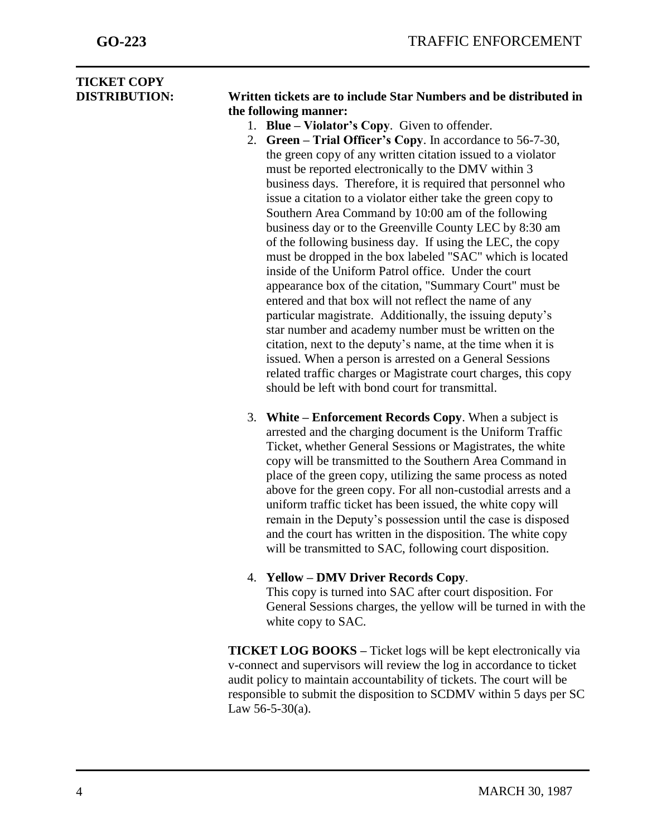| <b>TICKET COPY</b>   |                                                                                                                   |  |  |  |
|----------------------|-------------------------------------------------------------------------------------------------------------------|--|--|--|
| <b>DISTRIBUTION:</b> | Written tickets are to include Star Numbers and be distributed in                                                 |  |  |  |
|                      | the following manner:                                                                                             |  |  |  |
|                      | 1. Blue – Violator's Copy. Given to offender.                                                                     |  |  |  |
|                      | 2. Green – Trial Officer's Copy. In accordance to 56-7-30,                                                        |  |  |  |
|                      | the green copy of any written citation issued to a violator                                                       |  |  |  |
|                      | must be reported electronically to the DMV within 3                                                               |  |  |  |
|                      | business days. Therefore, it is required that personnel who                                                       |  |  |  |
|                      | issue a citation to a violator either take the green copy to                                                      |  |  |  |
|                      | Southern Area Command by 10:00 am of the following                                                                |  |  |  |
|                      | business day or to the Greenville County LEC by 8:30 am                                                           |  |  |  |
|                      | of the following business day. If using the LEC, the copy                                                         |  |  |  |
|                      | must be dropped in the box labeled "SAC" which is located                                                         |  |  |  |
|                      | inside of the Uniform Patrol office. Under the court                                                              |  |  |  |
|                      | appearance box of the citation, "Summary Court" must be                                                           |  |  |  |
|                      | entered and that box will not reflect the name of any                                                             |  |  |  |
|                      | particular magistrate. Additionally, the issuing deputy's                                                         |  |  |  |
|                      | star number and academy number must be written on the                                                             |  |  |  |
|                      | citation, next to the deputy's name, at the time when it is                                                       |  |  |  |
|                      | issued. When a person is arrested on a General Sessions                                                           |  |  |  |
|                      | related traffic charges or Magistrate court charges, this copy<br>should be left with bond court for transmittal. |  |  |  |
|                      |                                                                                                                   |  |  |  |
|                      | 3. White – Enforcement Records Copy. When a subject is                                                            |  |  |  |
|                      | arrested and the charging document is the Uniform Traffic                                                         |  |  |  |
|                      | Ticket, whether General Sessions or Magistrates, the white                                                        |  |  |  |
|                      | copy will be transmitted to the Southern Area Command in                                                          |  |  |  |

copy will be transmitted to the Southern Area Command in place of the green copy, utilizing the same process as noted above for the green copy. For all non-custodial arrests and a uniform traffic ticket has been issued, the white copy will remain in the Deputy's possession until the case is disposed and the court has written in the disposition. The white copy will be transmitted to SAC, following court disposition.

# 4. **Yellow – DMV Driver Records Copy**.

This copy is turned into SAC after court disposition. For General Sessions charges, the yellow will be turned in with the white copy to SAC.

**TICKET LOG BOOKS –** Ticket logs will be kept electronically via v-connect and supervisors will review the log in accordance to ticket audit policy to maintain accountability of tickets. The court will be responsible to submit the disposition to SCDMV within 5 days per SC Law 56-5-30(a).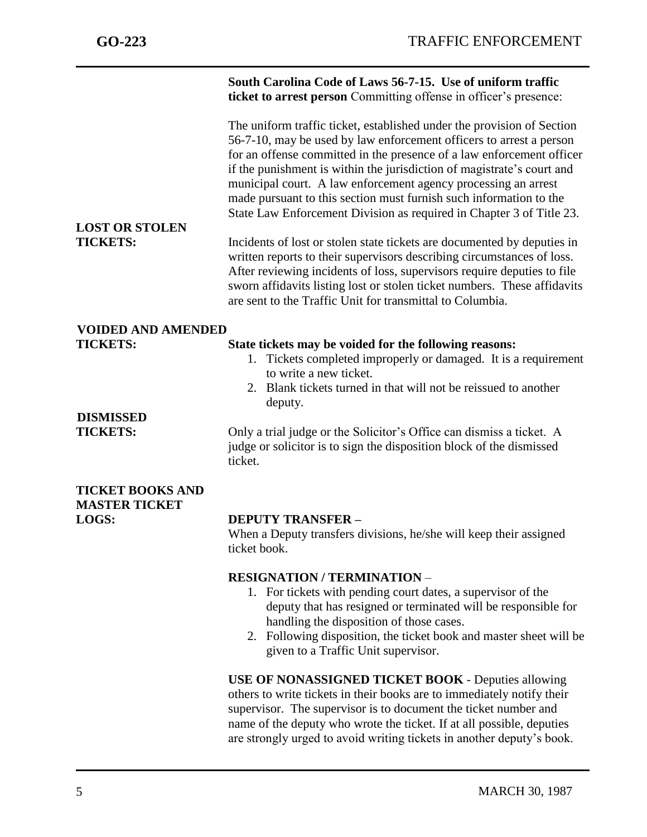j **South Carolina Code of Laws 56-7-15. Use of uniform traffic ticket to arrest person** Committing offense in officer's presence: The uniform traffic ticket, established under the provision of Section 56-7-10, may be used by law enforcement officers to arrest a person for an offense committed in the presence of a law enforcement officer if the punishment is within the jurisdiction of magistrate's court and municipal court. A law enforcement agency processing an arrest made pursuant to this section must furnish such information to the State Law Enforcement Division as required in Chapter 3 of Title 23. **LOST OR STOLEN TICKETS:** Incidents of lost or stolen state tickets are documented by deputies in written reports to their supervisors describing circumstances of loss. After reviewing incidents of loss, supervisors require deputies to file sworn affidavits listing lost or stolen ticket numbers. These affidavits are sent to the Traffic Unit for transmittal to Columbia. **VOIDED AND AMENDED TICKETS: State tickets may be voided for the following reasons:** 1. Tickets completed improperly or damaged. It is a requirement to write a new ticket. 2. Blank tickets turned in that will not be reissued to another deputy. **DISMISSED TICKETS:** Only a trial judge or the Solicitor's Office can dismiss a ticket. A judge or solicitor is to sign the disposition block of the dismissed ticket. **TICKET BOOKS AND MASTER TICKET LOGS: DEPUTY TRANSFER –** When a Deputy transfers divisions, he/she will keep their assigned ticket book. **RESIGNATION / TERMINATION** – 1. For tickets with pending court dates, a supervisor of the deputy that has resigned or terminated will be responsible for handling the disposition of those cases. 2. Following disposition, the ticket book and master sheet will be given to a Traffic Unit supervisor. **USE OF NONASSIGNED TICKET BOOK** - Deputies allowing others to write tickets in their books are to immediately notify their

supervisor. The supervisor is to document the ticket number and name of the deputy who wrote the ticket. If at all possible, deputies are strongly urged to avoid writing tickets in another deputy's book.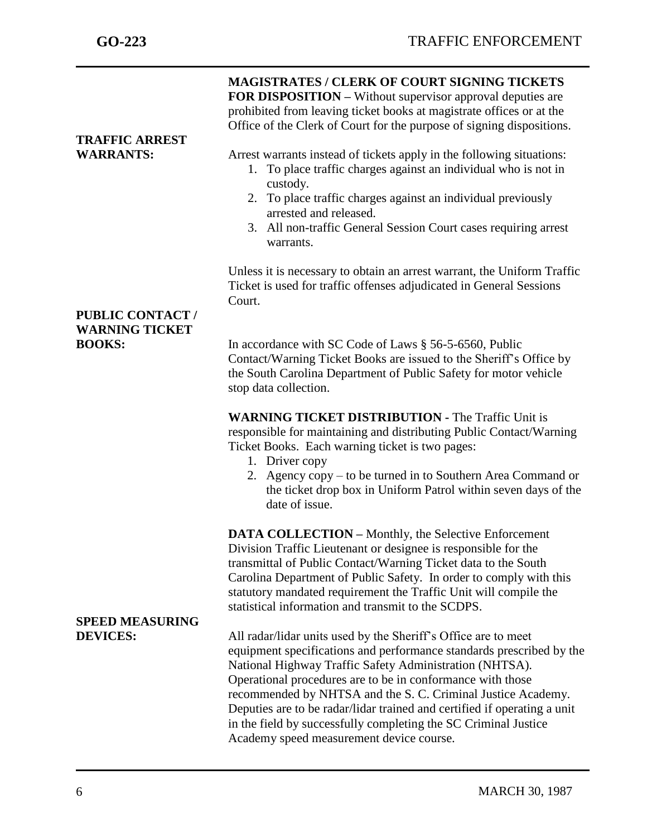| <b>TRAFFIC ARREST</b><br><b>WARRANTS:</b><br><b>PUBLIC CONTACT/</b><br><b>WARNING TICKET</b><br><b>BOOKS:</b> | <b>MAGISTRATES / CLERK OF COURT SIGNING TICKETS</b><br><b>FOR DISPOSITION – Without supervisor approval deputies are</b><br>prohibited from leaving ticket books at magistrate offices or at the<br>Office of the Clerk of Court for the purpose of signing dispositions.<br>Arrest warrants instead of tickets apply in the following situations:<br>1. To place traffic charges against an individual who is not in<br>custody.<br>2. To place traffic charges against an individual previously<br>arrested and released.<br>3. All non-traffic General Session Court cases requiring arrest<br>warrants.<br>Unless it is necessary to obtain an arrest warrant, the Uniform Traffic<br>Ticket is used for traffic offenses adjudicated in General Sessions<br>Court.<br>In accordance with SC Code of Laws § 56-5-6560, Public |  |  |
|---------------------------------------------------------------------------------------------------------------|-----------------------------------------------------------------------------------------------------------------------------------------------------------------------------------------------------------------------------------------------------------------------------------------------------------------------------------------------------------------------------------------------------------------------------------------------------------------------------------------------------------------------------------------------------------------------------------------------------------------------------------------------------------------------------------------------------------------------------------------------------------------------------------------------------------------------------------|--|--|
|                                                                                                               | Contact/Warning Ticket Books are issued to the Sheriff's Office by<br>the South Carolina Department of Public Safety for motor vehicle<br>stop data collection.                                                                                                                                                                                                                                                                                                                                                                                                                                                                                                                                                                                                                                                                   |  |  |
|                                                                                                               | <b>WARNING TICKET DISTRIBUTION - The Traffic Unit is</b><br>responsible for maintaining and distributing Public Contact/Warning<br>Ticket Books. Each warning ticket is two pages:<br>1. Driver copy<br>2. Agency copy – to be turned in to Southern Area Command or<br>the ticket drop box in Uniform Patrol within seven days of the<br>date of issue.                                                                                                                                                                                                                                                                                                                                                                                                                                                                          |  |  |
| <b>SPEED MEASURING</b>                                                                                        | <b>DATA COLLECTION – Monthly, the Selective Enforcement</b><br>Division Traffic Lieutenant or designee is responsible for the<br>transmittal of Public Contact/Warning Ticket data to the South<br>Carolina Department of Public Safety. In order to comply with this<br>statutory mandated requirement the Traffic Unit will compile the<br>statistical information and transmit to the SCDPS.                                                                                                                                                                                                                                                                                                                                                                                                                                   |  |  |
| <b>DEVICES:</b>                                                                                               | All radar/lidar units used by the Sheriff's Office are to meet<br>equipment specifications and performance standards prescribed by the<br>National Highway Traffic Safety Administration (NHTSA).<br>Operational procedures are to be in conformance with those<br>recommended by NHTSA and the S. C. Criminal Justice Academy.<br>Deputies are to be radar/lidar trained and certified if operating a unit<br>in the field by successfully completing the SC Criminal Justice<br>Academy speed measurement device course.                                                                                                                                                                                                                                                                                                        |  |  |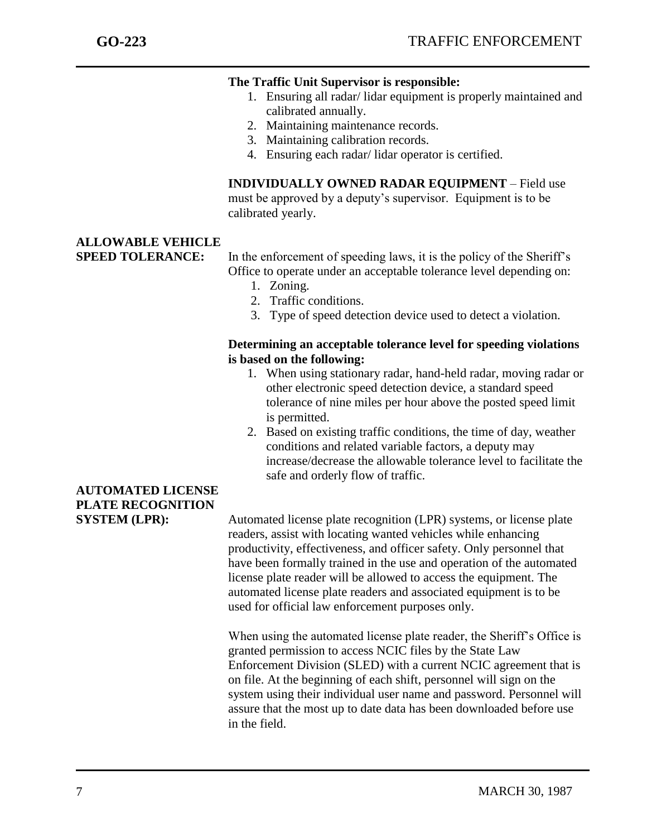### **The Traffic Unit Supervisor is responsible:**

- 1. Ensuring all radar/ lidar equipment is properly maintained and calibrated annually.
- 2. Maintaining maintenance records.
- 3. Maintaining calibration records.
- 4. Ensuring each radar/ lidar operator is certified.

**INDIVIDUALLY OWNED RADAR EQUIPMENT** – Field use must be approved by a deputy's supervisor. Equipment is to be calibrated yearly.

# **ALLOWABLE VEHICLE**

**SPEED TOLERANCE:** In the enforcement of speeding laws, it is the policy of the Sheriff's Office to operate under an acceptable tolerance level depending on:

- 1. Zoning.
- 2. Traffic conditions.
- 3. Type of speed detection device used to detect a violation.

### **Determining an acceptable tolerance level for speeding violations is based on the following:**

- 1. When using stationary radar, hand-held radar, moving radar or other electronic speed detection device, a standard speed tolerance of nine miles per hour above the posted speed limit is permitted.
- 2. Based on existing traffic conditions, the time of day, weather conditions and related variable factors, a deputy may increase/decrease the allowable tolerance level to facilitate the safe and orderly flow of traffic.

**SYSTEM (LPR):** Automated license plate recognition (LPR) systems, or license plate readers, assist with locating wanted vehicles while enhancing productivity, effectiveness, and officer safety. Only personnel that have been formally trained in the use and operation of the automated license plate reader will be allowed to access the equipment. The automated license plate readers and associated equipment is to be used for official law enforcement purposes only.

> When using the automated license plate reader, the Sheriff's Office is granted permission to access NCIC files by the State Law Enforcement Division (SLED) with a current NCIC agreement that is on file. At the beginning of each shift, personnel will sign on the system using their individual user name and password. Personnel will assure that the most up to date data has been downloaded before use in the field.

# **AUTOMATED LICENSE PLATE RECOGNITION**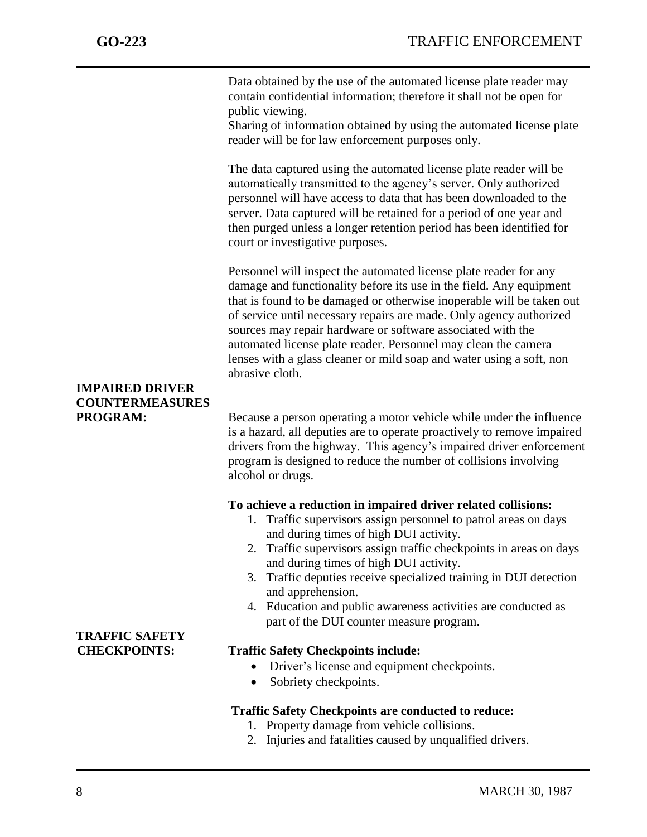Data obtained by the use of the automated license plate reader may contain confidential information; therefore it shall not be open for public viewing.

Sharing of information obtained by using the automated license plate reader will be for law enforcement purposes only.

The data captured using the automated license plate reader will be automatically transmitted to the agency's server. Only authorized personnel will have access to data that has been downloaded to the server. Data captured will be retained for a period of one year and then purged unless a longer retention period has been identified for court or investigative purposes.

Personnel will inspect the automated license plate reader for any damage and functionality before its use in the field. Any equipment that is found to be damaged or otherwise inoperable will be taken out of service until necessary repairs are made. Only agency authorized sources may repair hardware or software associated with the automated license plate reader. Personnel may clean the camera lenses with a glass cleaner or mild soap and water using a soft, non abrasive cloth.

# **COUNTERMEASURES**

**PROGRAM:** Because a person operating a motor vehicle while under the influence is a hazard, all deputies are to operate proactively to remove impaired drivers from the highway. This agency's impaired driver enforcement program is designed to reduce the number of collisions involving alcohol or drugs.

#### **To achieve a reduction in impaired driver related collisions:**

- 1. Traffic supervisors assign personnel to patrol areas on days and during times of high DUI activity.
- 2. Traffic supervisors assign traffic checkpoints in areas on days and during times of high DUI activity.
- 3. Traffic deputies receive specialized training in DUI detection and apprehension.
- 4. Education and public awareness activities are conducted as part of the DUI counter measure program.

## **CHECKPOINTS: Traffic Safety Checkpoints include:**

- Driver's license and equipment checkpoints.
- Sobriety checkpoints.

## **Traffic Safety Checkpoints are conducted to reduce:**

- 1. Property damage from vehicle collisions.
- 2. Injuries and fatalities caused by unqualified drivers.

# **IMPAIRED DRIVER**

**TRAFFIC SAFETY**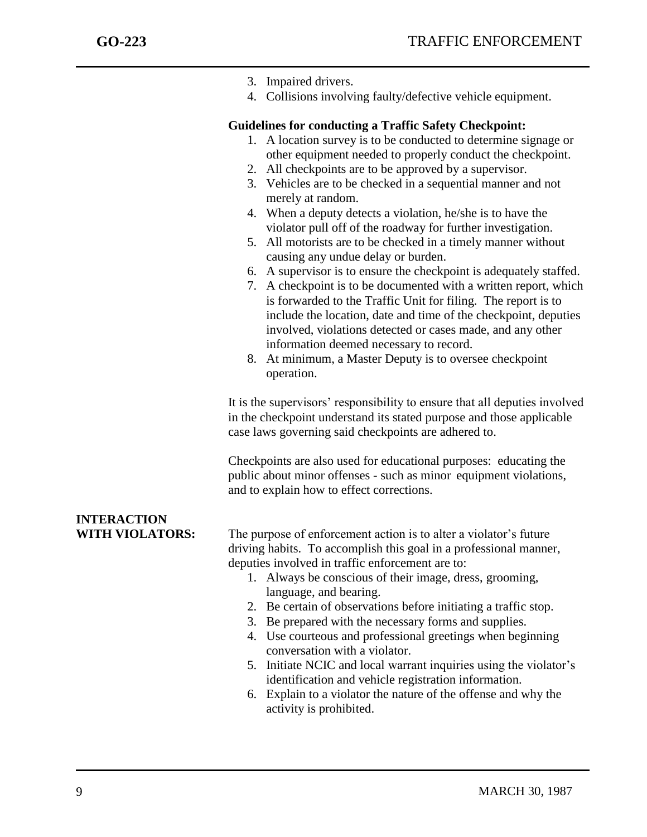|                        | 3. Impaired drivers.                                                                                                                                                                                       |
|------------------------|------------------------------------------------------------------------------------------------------------------------------------------------------------------------------------------------------------|
|                        | 4. Collisions involving faulty/defective vehicle equipment.                                                                                                                                                |
|                        | <b>Guidelines for conducting a Traffic Safety Checkpoint:</b>                                                                                                                                              |
|                        | 1. A location survey is to be conducted to determine signage or                                                                                                                                            |
|                        | other equipment needed to properly conduct the checkpoint.<br>2. All checkpoints are to be approved by a supervisor.                                                                                       |
|                        | 3. Vehicles are to be checked in a sequential manner and not                                                                                                                                               |
|                        | merely at random.                                                                                                                                                                                          |
|                        | 4. When a deputy detects a violation, he/she is to have the                                                                                                                                                |
|                        | violator pull off of the roadway for further investigation.                                                                                                                                                |
|                        | 5. All motorists are to be checked in a timely manner without<br>causing any undue delay or burden.                                                                                                        |
|                        | 6. A supervisor is to ensure the checkpoint is adequately staffed.                                                                                                                                         |
|                        | 7. A checkpoint is to be documented with a written report, which                                                                                                                                           |
|                        | is forwarded to the Traffic Unit for filing. The report is to                                                                                                                                              |
|                        | include the location, date and time of the checkpoint, deputies                                                                                                                                            |
|                        | involved, violations detected or cases made, and any other<br>information deemed necessary to record.                                                                                                      |
|                        | 8. At minimum, a Master Deputy is to oversee checkpoint                                                                                                                                                    |
|                        | operation.                                                                                                                                                                                                 |
|                        | It is the supervisors' responsibility to ensure that all deputies involved<br>in the checkpoint understand its stated purpose and those applicable<br>case laws governing said checkpoints are adhered to. |
|                        | Checkpoints are also used for educational purposes: educating the<br>public about minor offenses - such as minor equipment violations,<br>and to explain how to effect corrections.                        |
| <b>INTERACTION</b>     |                                                                                                                                                                                                            |
| <b>WITH VIOLATORS:</b> | The purpose of enforcement action is to alter a violator's future                                                                                                                                          |
|                        | driving habits. To accomplish this goal in a professional manner,                                                                                                                                          |
|                        | deputies involved in traffic enforcement are to:                                                                                                                                                           |
|                        | 1. Always be conscious of their image, dress, grooming,                                                                                                                                                    |
|                        | language, and bearing.                                                                                                                                                                                     |
|                        | 2. Be certain of observations before initiating a traffic stop.<br>3. Be prepared with the necessary forms and supplies.                                                                                   |
|                        | 4. Use courteous and professional greetings when beginning                                                                                                                                                 |
|                        | conversation with a violator.                                                                                                                                                                              |
|                        | 5. Initiate NCIC and local warrant inquiries using the violator's                                                                                                                                          |
|                        | identification and vehicle registration information.                                                                                                                                                       |
|                        |                                                                                                                                                                                                            |

 6. Explain to a violator the nature of the offense and why the activity is prohibited.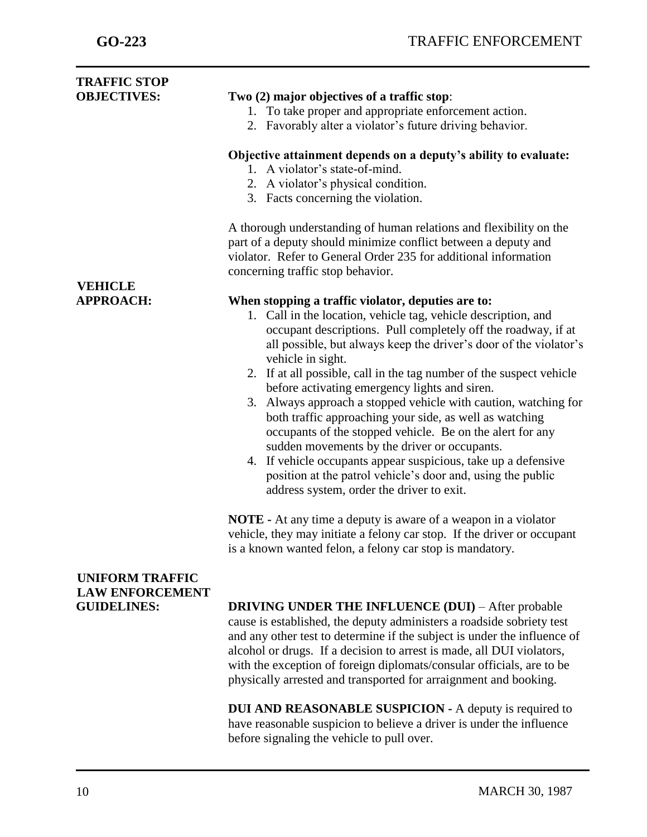| <b>TRAFFIC STOP</b>                              |                                                                                                                                                                                                                                                                                                                                                                                                                                                                                                                                                                                                                                                                                                                                                                                      |
|--------------------------------------------------|--------------------------------------------------------------------------------------------------------------------------------------------------------------------------------------------------------------------------------------------------------------------------------------------------------------------------------------------------------------------------------------------------------------------------------------------------------------------------------------------------------------------------------------------------------------------------------------------------------------------------------------------------------------------------------------------------------------------------------------------------------------------------------------|
| <b>OBJECTIVES:</b>                               | Two (2) major objectives of a traffic stop:                                                                                                                                                                                                                                                                                                                                                                                                                                                                                                                                                                                                                                                                                                                                          |
|                                                  | 1. To take proper and appropriate enforcement action.                                                                                                                                                                                                                                                                                                                                                                                                                                                                                                                                                                                                                                                                                                                                |
|                                                  | 2. Favorably alter a violator's future driving behavior.                                                                                                                                                                                                                                                                                                                                                                                                                                                                                                                                                                                                                                                                                                                             |
|                                                  | Objective attainment depends on a deputy's ability to evaluate:                                                                                                                                                                                                                                                                                                                                                                                                                                                                                                                                                                                                                                                                                                                      |
|                                                  | 1. A violator's state-of-mind.                                                                                                                                                                                                                                                                                                                                                                                                                                                                                                                                                                                                                                                                                                                                                       |
|                                                  | 2. A violator's physical condition.                                                                                                                                                                                                                                                                                                                                                                                                                                                                                                                                                                                                                                                                                                                                                  |
|                                                  | 3. Facts concerning the violation.                                                                                                                                                                                                                                                                                                                                                                                                                                                                                                                                                                                                                                                                                                                                                   |
|                                                  | A thorough understanding of human relations and flexibility on the<br>part of a deputy should minimize conflict between a deputy and                                                                                                                                                                                                                                                                                                                                                                                                                                                                                                                                                                                                                                                 |
|                                                  | violator. Refer to General Order 235 for additional information                                                                                                                                                                                                                                                                                                                                                                                                                                                                                                                                                                                                                                                                                                                      |
| <b>VEHICLE</b>                                   | concerning traffic stop behavior.                                                                                                                                                                                                                                                                                                                                                                                                                                                                                                                                                                                                                                                                                                                                                    |
| <b>APPROACH:</b>                                 | When stopping a traffic violator, deputies are to:<br>1. Call in the location, vehicle tag, vehicle description, and<br>occupant descriptions. Pull completely off the roadway, if at<br>all possible, but always keep the driver's door of the violator's<br>vehicle in sight.<br>2. If at all possible, call in the tag number of the suspect vehicle<br>before activating emergency lights and siren.<br>3. Always approach a stopped vehicle with caution, watching for<br>both traffic approaching your side, as well as watching<br>occupants of the stopped vehicle. Be on the alert for any<br>sudden movements by the driver or occupants.<br>4. If vehicle occupants appear suspicious, take up a defensive<br>position at the patrol vehicle's door and, using the public |
|                                                  | address system, order the driver to exit.<br><b>NOTE</b> - At any time a deputy is aware of a weapon in a violator                                                                                                                                                                                                                                                                                                                                                                                                                                                                                                                                                                                                                                                                   |
|                                                  | vehicle, they may initiate a felony car stop. If the driver or occupant<br>is a known wanted felon, a felony car stop is mandatory.                                                                                                                                                                                                                                                                                                                                                                                                                                                                                                                                                                                                                                                  |
| <b>UNIFORM TRAFFIC</b><br><b>LAW ENFORCEMENT</b> |                                                                                                                                                                                                                                                                                                                                                                                                                                                                                                                                                                                                                                                                                                                                                                                      |
| <b>GUIDELINES:</b>                               | <b>DRIVING UNDER THE INFLUENCE (DUI)</b> – After probable<br>cause is established, the deputy administers a roadside sobriety test<br>and any other test to determine if the subject is under the influence of<br>alcohol or drugs. If a decision to arrest is made, all DUI violators,                                                                                                                                                                                                                                                                                                                                                                                                                                                                                              |

**DUI AND REASONABLE SUSPICION -** A deputy is required to have reasonable suspicion to believe a driver is under the influence before signaling the vehicle to pull over.

with the exception of foreign diplomats/consular officials, are to be physically arrested and transported for arraignment and booking.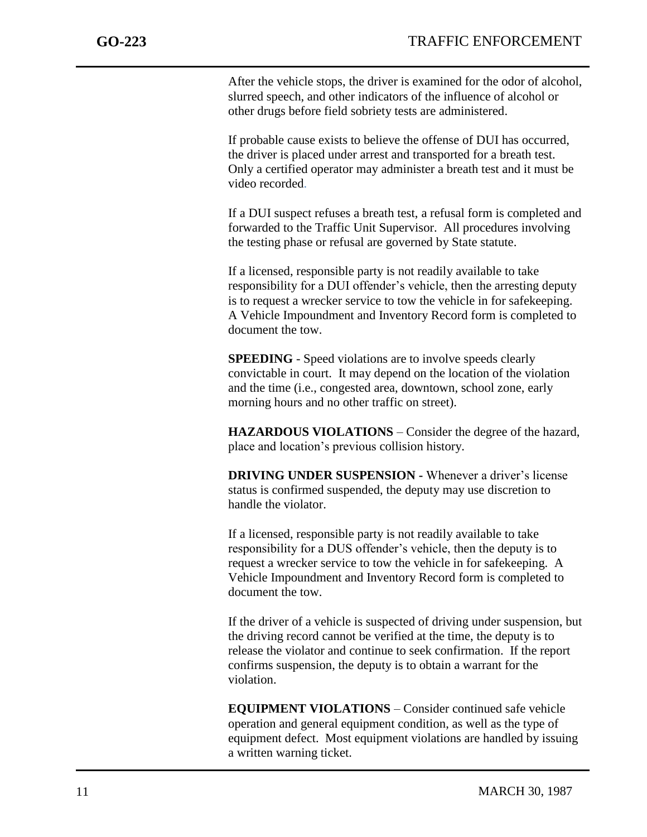After the vehicle stops, the driver is examined for the odor of alcohol, slurred speech, and other indicators of the influence of alcohol or other drugs before field sobriety tests are administered.

If probable cause exists to believe the offense of DUI has occurred, the driver is placed under arrest and transported for a breath test. Only a certified operator may administer a breath test and it must be video recorded.

If a DUI suspect refuses a breath test, a refusal form is completed and forwarded to the Traffic Unit Supervisor. All procedures involving the testing phase or refusal are governed by State statute.

If a licensed, responsible party is not readily available to take responsibility for a DUI offender's vehicle, then the arresting deputy is to request a wrecker service to tow the vehicle in for safekeeping. A Vehicle Impoundment and Inventory Record form is completed to document the tow.

**SPEEDING** - Speed violations are to involve speeds clearly convictable in court. It may depend on the location of the violation and the time (i.e., congested area, downtown, school zone, early morning hours and no other traffic on street).

**HAZARDOUS VIOLATIONS** – Consider the degree of the hazard, place and location's previous collision history.

**DRIVING UNDER SUSPENSION -** Whenever a driver's license status is confirmed suspended, the deputy may use discretion to handle the violator.

If a licensed, responsible party is not readily available to take responsibility for a DUS offender's vehicle, then the deputy is to request a wrecker service to tow the vehicle in for safekeeping. A Vehicle Impoundment and Inventory Record form is completed to document the tow.

If the driver of a vehicle is suspected of driving under suspension, but the driving record cannot be verified at the time, the deputy is to release the violator and continue to seek confirmation. If the report confirms suspension, the deputy is to obtain a warrant for the violation.

**EQUIPMENT VIOLATIONS** – Consider continued safe vehicle operation and general equipment condition, as well as the type of equipment defect. Most equipment violations are handled by issuing a written warning ticket.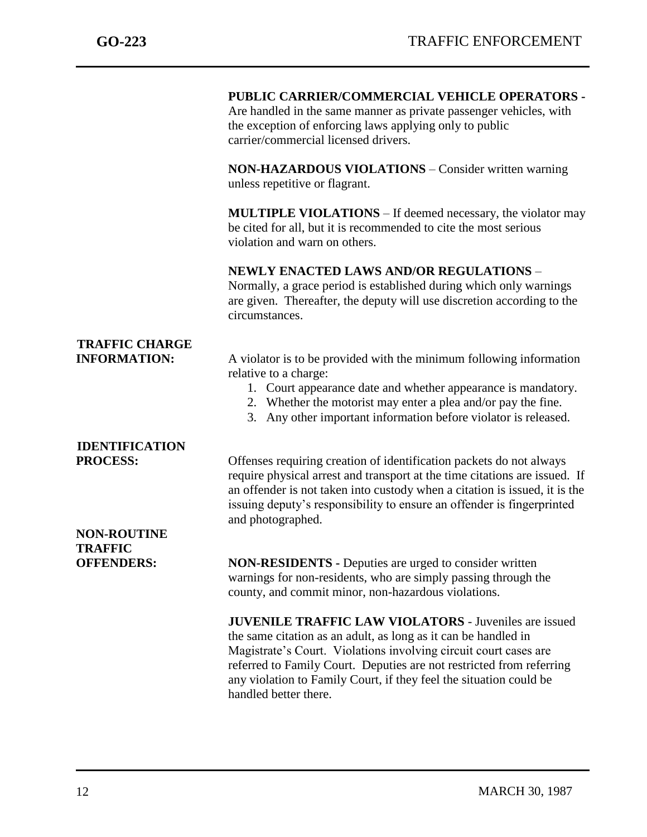|                                              | PUBLIC CARRIER/COMMERCIAL VEHICLE OPERATORS -<br>Are handled in the same manner as private passenger vehicles, with<br>the exception of enforcing laws applying only to public<br>carrier/commercial licensed drivers.                                                                                                                                                    |
|----------------------------------------------|---------------------------------------------------------------------------------------------------------------------------------------------------------------------------------------------------------------------------------------------------------------------------------------------------------------------------------------------------------------------------|
|                                              | <b>NON-HAZARDOUS VIOLATIONS</b> – Consider written warning<br>unless repetitive or flagrant.                                                                                                                                                                                                                                                                              |
|                                              | <b>MULTIPLE VIOLATIONS</b> – If deemed necessary, the violator may<br>be cited for all, but it is recommended to cite the most serious<br>violation and warn on others.                                                                                                                                                                                                   |
|                                              | <b>NEWLY ENACTED LAWS AND/OR REGULATIONS -</b><br>Normally, a grace period is established during which only warnings<br>are given. Thereafter, the deputy will use discretion according to the<br>circumstances.                                                                                                                                                          |
| <b>TRAFFIC CHARGE</b><br><b>INFORMATION:</b> | A violator is to be provided with the minimum following information<br>relative to a charge:<br>1. Court appearance date and whether appearance is mandatory.<br>2. Whether the motorist may enter a plea and/or pay the fine.<br>3. Any other important information before violator is released.                                                                         |
| <b>IDENTIFICATION</b>                        |                                                                                                                                                                                                                                                                                                                                                                           |
| <b>PROCESS:</b>                              | Offenses requiring creation of identification packets do not always<br>require physical arrest and transport at the time citations are issued. If<br>an offender is not taken into custody when a citation is issued, it is the<br>issuing deputy's responsibility to ensure an offender is fingerprinted<br>and photographed.                                            |
| <b>NON-ROUTINE</b>                           |                                                                                                                                                                                                                                                                                                                                                                           |
| <b>TRAFFIC</b><br><b>OFFENDERS:</b>          | <b>NON-RESIDENTS</b> - Deputies are urged to consider written<br>warnings for non-residents, who are simply passing through the<br>county, and commit minor, non-hazardous violations.                                                                                                                                                                                    |
|                                              | <b>JUVENILE TRAFFIC LAW VIOLATORS - Juveniles are issued</b><br>the same citation as an adult, as long as it can be handled in<br>Magistrate's Court. Violations involving circuit court cases are<br>referred to Family Court. Deputies are not restricted from referring<br>any violation to Family Court, if they feel the situation could be<br>handled better there. |